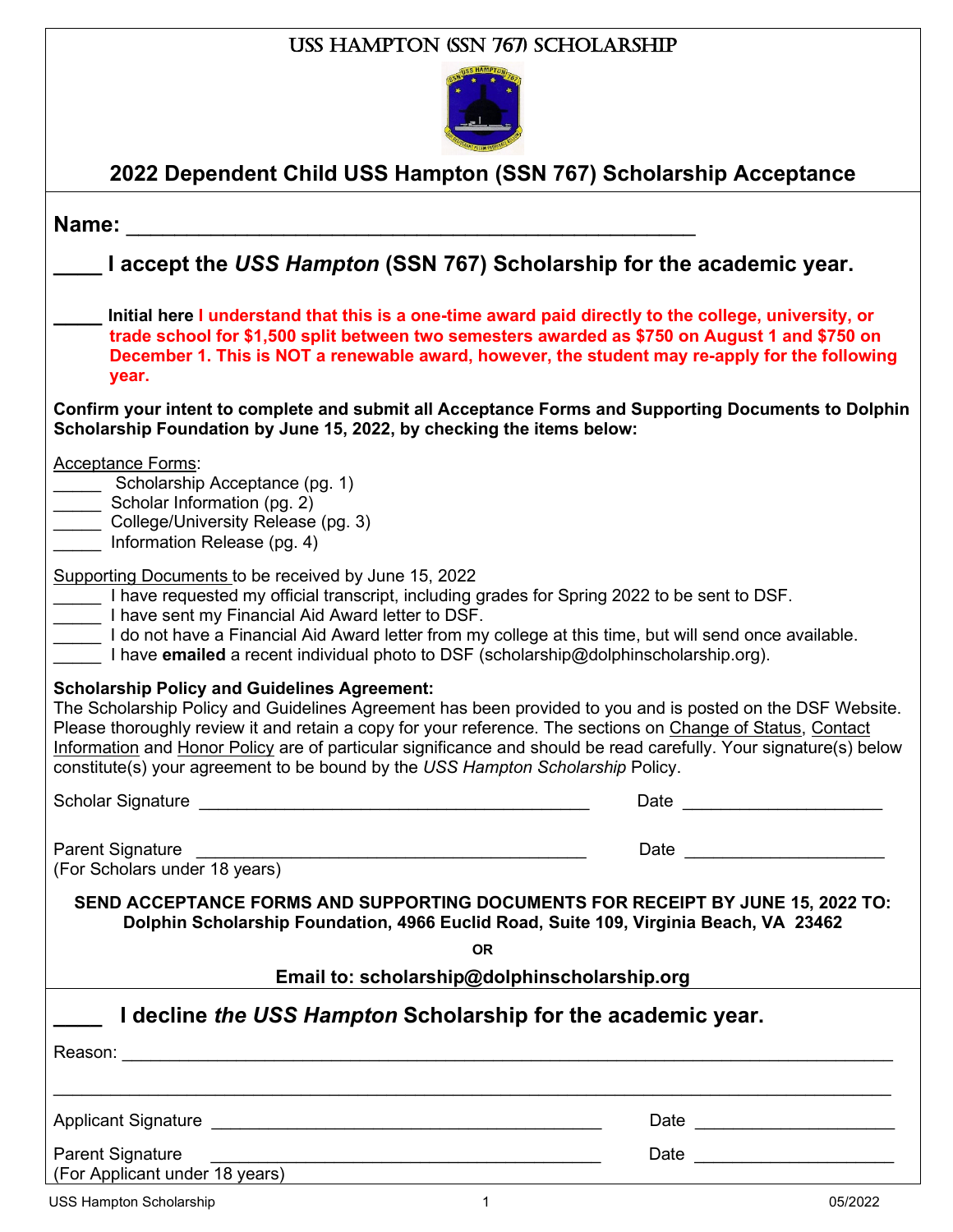|                                                                                                                                                                                                                                                                                                                                                                    | USS HAMPTON (SSN 767) SCHOLARSHIP                                                                                                                                                                                                                                                                        |
|--------------------------------------------------------------------------------------------------------------------------------------------------------------------------------------------------------------------------------------------------------------------------------------------------------------------------------------------------------------------|----------------------------------------------------------------------------------------------------------------------------------------------------------------------------------------------------------------------------------------------------------------------------------------------------------|
|                                                                                                                                                                                                                                                                                                                                                                    |                                                                                                                                                                                                                                                                                                          |
|                                                                                                                                                                                                                                                                                                                                                                    | 2022 Dependent Child USS Hampton (SSN 767) Scholarship Acceptance                                                                                                                                                                                                                                        |
| Name:                                                                                                                                                                                                                                                                                                                                                              |                                                                                                                                                                                                                                                                                                          |
|                                                                                                                                                                                                                                                                                                                                                                    | I accept the USS Hampton (SSN 767) Scholarship for the academic year.                                                                                                                                                                                                                                    |
| year.                                                                                                                                                                                                                                                                                                                                                              | Initial here I understand that this is a one-time award paid directly to the college, university, or<br>trade school for \$1,500 split between two semesters awarded as \$750 on August 1 and \$750 on<br>December 1. This is NOT a renewable award, however, the student may re-apply for the following |
| Scholarship Foundation by June 15, 2022, by checking the items below:                                                                                                                                                                                                                                                                                              | Confirm your intent to complete and submit all Acceptance Forms and Supporting Documents to Dolphin                                                                                                                                                                                                      |
| <b>Acceptance Forms:</b><br>Scholarship Acceptance (pg. 1)<br>Scholar Information (pg. 2)<br>College/University Release (pg. 3)<br>Information Release (pg. 4)                                                                                                                                                                                                     |                                                                                                                                                                                                                                                                                                          |
| Supporting Documents to be received by June 15, 2022<br>I have requested my official transcript, including grades for Spring 2022 to be sent to DSF.<br>I have sent my Financial Aid Award letter to DSF.<br>I have emailed a recent individual photo to DSF (scholarship@dolphinscholarship.org).                                                                 | I do not have a Financial Aid Award letter from my college at this time, but will send once available.                                                                                                                                                                                                   |
| <b>Scholarship Policy and Guidelines Agreement:</b><br>The Scholarship Policy and Guidelines Agreement has been provided to you and is posted on the DSF Website<br>Please thoroughly review it and retain a copy for your reference. The sections on Change of Status, Contact<br>constitute(s) your agreement to be bound by the USS Hampton Scholarship Policy. | Information and Honor Policy are of particular significance and should be read carefully. Your signature(s) below                                                                                                                                                                                        |
|                                                                                                                                                                                                                                                                                                                                                                    |                                                                                                                                                                                                                                                                                                          |
| Parent Signature<br>(For Scholars under 18 years)                                                                                                                                                                                                                                                                                                                  | Date _________________________                                                                                                                                                                                                                                                                           |
|                                                                                                                                                                                                                                                                                                                                                                    | SEND ACCEPTANCE FORMS AND SUPPORTING DOCUMENTS FOR RECEIPT BY JUNE 15, 2022 TO:<br>Dolphin Scholarship Foundation, 4966 Euclid Road, Suite 109, Virginia Beach, VA 23462                                                                                                                                 |
|                                                                                                                                                                                                                                                                                                                                                                    | <b>OR</b>                                                                                                                                                                                                                                                                                                |
|                                                                                                                                                                                                                                                                                                                                                                    | Email to: scholarship@dolphinscholarship.org                                                                                                                                                                                                                                                             |
| I decline the USS Hampton Scholarship for the academic year.                                                                                                                                                                                                                                                                                                       |                                                                                                                                                                                                                                                                                                          |
|                                                                                                                                                                                                                                                                                                                                                                    |                                                                                                                                                                                                                                                                                                          |
|                                                                                                                                                                                                                                                                                                                                                                    |                                                                                                                                                                                                                                                                                                          |
|                                                                                                                                                                                                                                                                                                                                                                    | Date ________________________                                                                                                                                                                                                                                                                            |
| <b>Parent Signature</b><br>(For Applicant under 18 years) Manual Contract Contract Contract Contract Contract Contract Contract Contract Contract Contract Contract Contract Contract Contract Contract Contract Contract Contract Contract Contract Cont                                                                                                          |                                                                                                                                                                                                                                                                                                          |
| USS Hampton Scholarship                                                                                                                                                                                                                                                                                                                                            | $\overline{1}$<br>05/2022                                                                                                                                                                                                                                                                                |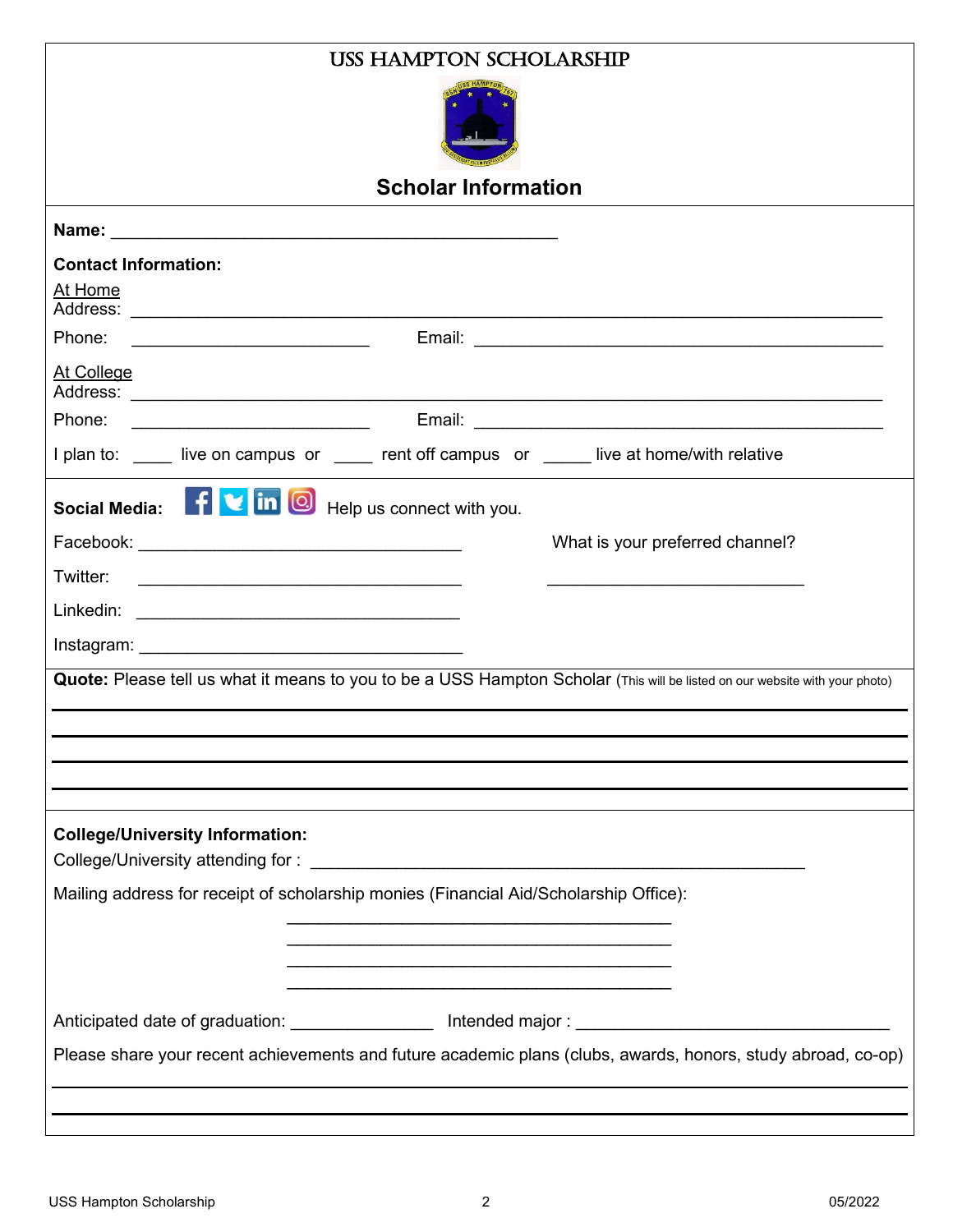| <b>USS HAMPTON SCHOLARSHIP</b>                                                                                              |  |  |  |  |
|-----------------------------------------------------------------------------------------------------------------------------|--|--|--|--|
|                                                                                                                             |  |  |  |  |
| <b>Scholar Information</b>                                                                                                  |  |  |  |  |
|                                                                                                                             |  |  |  |  |
| <b>Contact Information:</b>                                                                                                 |  |  |  |  |
| At Home                                                                                                                     |  |  |  |  |
| Phone:                                                                                                                      |  |  |  |  |
| At College                                                                                                                  |  |  |  |  |
| Phone:<br><u> 1989 - Johann Barbara, martin amerikan basal da</u>                                                           |  |  |  |  |
| I plan to: ____ live on campus or ____ rent off campus or ____ live at home/with relative                                   |  |  |  |  |
| Social Media: <b>f v</b> in <b>O</b> Help us connect with you.                                                              |  |  |  |  |
| What is your preferred channel?                                                                                             |  |  |  |  |
| Twitter:                                                                                                                    |  |  |  |  |
|                                                                                                                             |  |  |  |  |
|                                                                                                                             |  |  |  |  |
| Quote: Please tell us what it means to you to be a USS Hampton Scholar (This will be listed on our website with your photo) |  |  |  |  |
|                                                                                                                             |  |  |  |  |
|                                                                                                                             |  |  |  |  |
|                                                                                                                             |  |  |  |  |
| <b>College/University Information:</b>                                                                                      |  |  |  |  |
| Mailing address for receipt of scholarship monies (Financial Aid/Scholarship Office):                                       |  |  |  |  |
|                                                                                                                             |  |  |  |  |
|                                                                                                                             |  |  |  |  |
|                                                                                                                             |  |  |  |  |
|                                                                                                                             |  |  |  |  |
| Please share your recent achievements and future academic plans (clubs, awards, honors, study abroad, co-op)                |  |  |  |  |
|                                                                                                                             |  |  |  |  |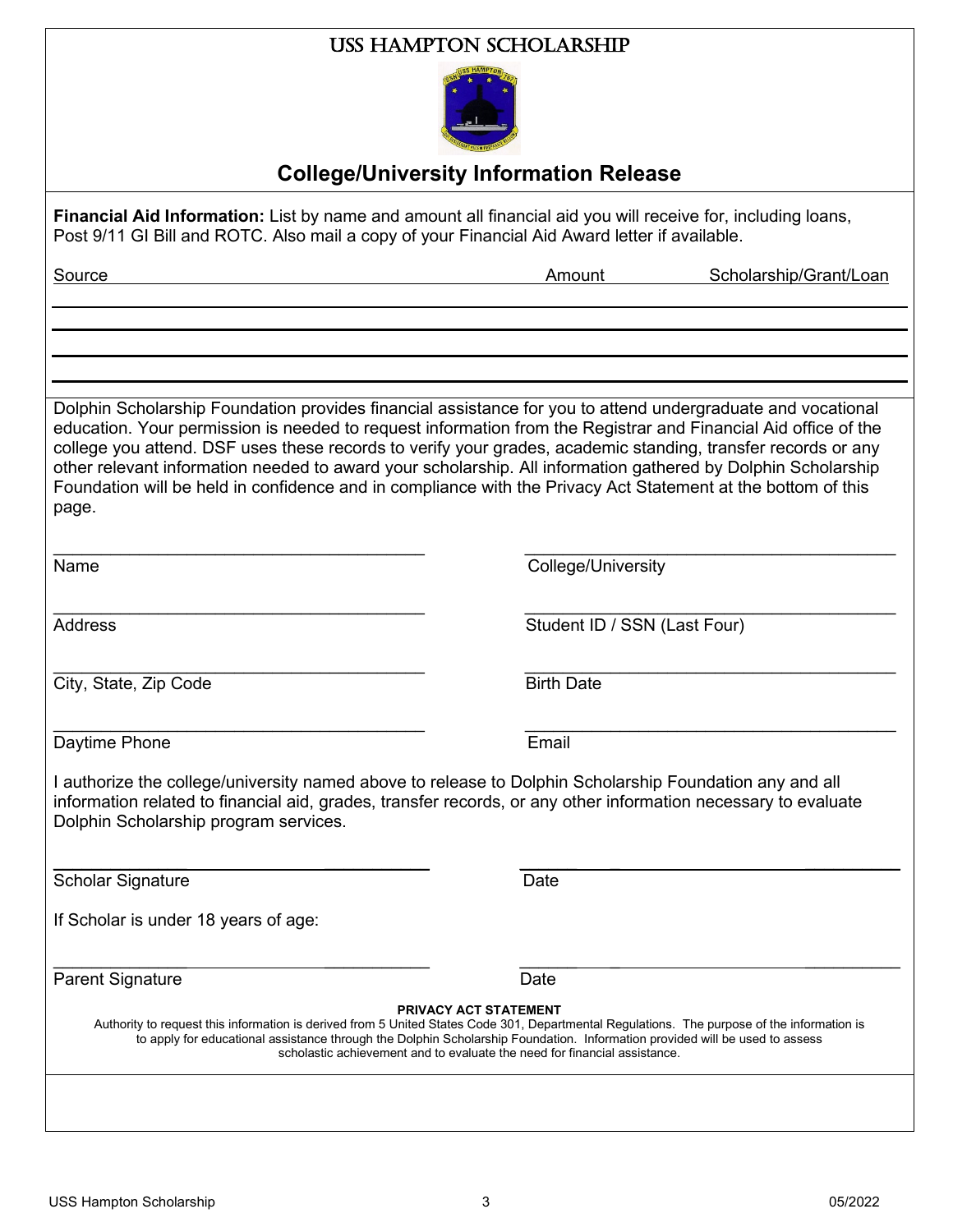#### USS Hampton Scholarship



## **College/University Information Release**

**Financial Aid Information:** List by name and amount all financial aid you will receive for, including loans, Post 9/11 GI Bill and ROTC. Also mail a copy of your Financial Aid Award letter if available.

| Source                                                                                                                                                                                                                                                                                                                                                                                                                                                                                                                                                                                 | Amount                       | Scholarship/Grant/Loan |
|----------------------------------------------------------------------------------------------------------------------------------------------------------------------------------------------------------------------------------------------------------------------------------------------------------------------------------------------------------------------------------------------------------------------------------------------------------------------------------------------------------------------------------------------------------------------------------------|------------------------------|------------------------|
|                                                                                                                                                                                                                                                                                                                                                                                                                                                                                                                                                                                        |                              |                        |
| Dolphin Scholarship Foundation provides financial assistance for you to attend undergraduate and vocational<br>education. Your permission is needed to request information from the Registrar and Financial Aid office of the<br>college you attend. DSF uses these records to verify your grades, academic standing, transfer records or any<br>other relevant information needed to award your scholarship. All information gathered by Dolphin Scholarship<br>Foundation will be held in confidence and in compliance with the Privacy Act Statement at the bottom of this<br>page. |                              |                        |
| Name                                                                                                                                                                                                                                                                                                                                                                                                                                                                                                                                                                                   | College/University           |                        |
| <b>Address</b>                                                                                                                                                                                                                                                                                                                                                                                                                                                                                                                                                                         | Student ID / SSN (Last Four) |                        |
| City, State, Zip Code                                                                                                                                                                                                                                                                                                                                                                                                                                                                                                                                                                  | <b>Birth Date</b>            |                        |
| Daytime Phone                                                                                                                                                                                                                                                                                                                                                                                                                                                                                                                                                                          | Email                        |                        |
| I authorize the college/university named above to release to Dolphin Scholarship Foundation any and all<br>information related to financial aid, grades, transfer records, or any other information necessary to evaluate<br>Dolphin Scholarship program services.                                                                                                                                                                                                                                                                                                                     |                              |                        |
| <b>Scholar Signature</b>                                                                                                                                                                                                                                                                                                                                                                                                                                                                                                                                                               | Date                         |                        |
| If Scholar is under 18 years of age:                                                                                                                                                                                                                                                                                                                                                                                                                                                                                                                                                   |                              |                        |
| <b>Parent Signature</b>                                                                                                                                                                                                                                                                                                                                                                                                                                                                                                                                                                | Date                         |                        |
| <b>PRIVACY ACT STATEMENT</b><br>Authority to request this information is derived from 5 United States Code 301, Departmental Regulations. The purpose of the information is<br>to apply for educational assistance through the Dolphin Scholarship Foundation. Information provided will be used to assess<br>scholastic achievement and to evaluate the need for financial assistance.                                                                                                                                                                                                |                              |                        |